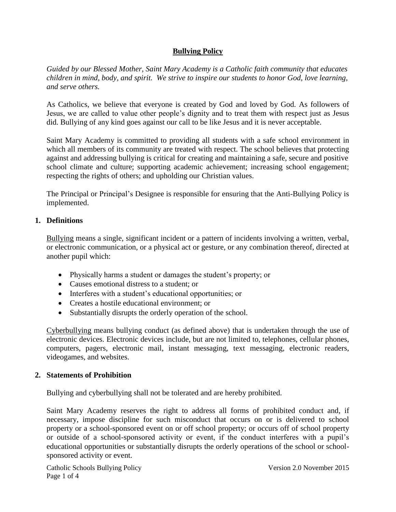## **Bullying Policy**

*Guided by our Blessed Mother, Saint Mary Academy is a Catholic faith community that educates children in mind, body, and spirit. We strive to inspire our students to honor God, love learning, and serve others.*

As Catholics, we believe that everyone is created by God and loved by God. As followers of Jesus, we are called to value other people's dignity and to treat them with respect just as Jesus did. Bullying of any kind goes against our call to be like Jesus and it is never acceptable.

Saint Mary Academy is committed to providing all students with a safe school environment in which all members of its community are treated with respect. The school believes that protecting against and addressing bullying is critical for creating and maintaining a safe, secure and positive school climate and culture; supporting academic achievement; increasing school engagement; respecting the rights of others; and upholding our Christian values.

The Principal or Principal's Designee is responsible for ensuring that the Anti-Bullying Policy is implemented.

## **1. Definitions**

Bullying means a single, significant incident or a pattern of incidents involving a written, verbal, or electronic communication, or a physical act or gesture, or any combination thereof, directed at another pupil which:

- Physically harms a student or damages the student's property; or
- Causes emotional distress to a student; or
- Interferes with a student's educational opportunities; or
- Creates a hostile educational environment; or
- Substantially disrupts the orderly operation of the school.

Cyberbullying means bullying conduct (as defined above) that is undertaken through the use of electronic devices. Electronic devices include, but are not limited to, telephones, cellular phones, computers, pagers, electronic mail, instant messaging, text messaging, electronic readers, videogames, and websites.

### **2. Statements of Prohibition**

Bullying and cyberbullying shall not be tolerated and are hereby prohibited.

Saint Mary Academy reserves the right to address all forms of prohibited conduct and, if necessary, impose discipline for such misconduct that occurs on or is delivered to school property or a school-sponsored event on or off school property; or occurs off of school property or outside of a school-sponsored activity or event, if the conduct interferes with a pupil's educational opportunities or substantially disrupts the orderly operations of the school or schoolsponsored activity or event.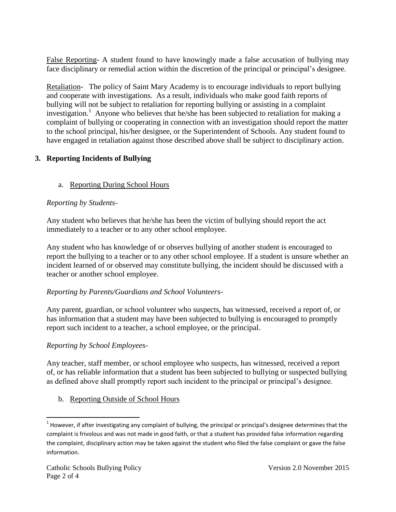False Reporting- A student found to have knowingly made a false accusation of bullying may face disciplinary or remedial action within the discretion of the principal or principal's designee.

Retaliation- The policy of Saint Mary Academy is to encourage individuals to report bullying and cooperate with investigations. As a result, individuals who make good faith reports of bullying will not be subject to retaliation for reporting bullying or assisting in a complaint investigation.<sup>1</sup> Anyone who believes that he/she has been subjected to retaliation for making a complaint of bullying or cooperating in connection with an investigation should report the matter to the school principal, his/her designee, or the Superintendent of Schools. Any student found to have engaged in retaliation against those described above shall be subject to disciplinary action.

# **3. Reporting Incidents of Bullying**

# a. Reporting During School Hours

# *Reporting by Students*-

Any student who believes that he/she has been the victim of bullying should report the act immediately to a teacher or to any other school employee.

Any student who has knowledge of or observes bullying of another student is encouraged to report the bullying to a teacher or to any other school employee. If a student is unsure whether an incident learned of or observed may constitute bullying, the incident should be discussed with a teacher or another school employee.

# *Reporting by Parents/Guardians and School Volunteers-*

Any parent, guardian, or school volunteer who suspects, has witnessed, received a report of, or has information that a student may have been subjected to bullying is encouraged to promptly report such incident to a teacher, a school employee, or the principal.

# *Reporting by School Employees-*

Any teacher, staff member, or school employee who suspects, has witnessed, received a report of, or has reliable information that a student has been subjected to bullying or suspected bullying as defined above shall promptly report such incident to the principal or principal's designee.

b. Reporting Outside of School Hours

 $\overline{\phantom{a}}$ 

<sup>&</sup>lt;sup>1</sup> However, if after investigating any complaint of bullying, the principal or principal's designee determines that the complaint is frivolous and was not made in good faith, or that a student has provided false information regarding the complaint, disciplinary action may be taken against the student who filed the false complaint or gave the false information.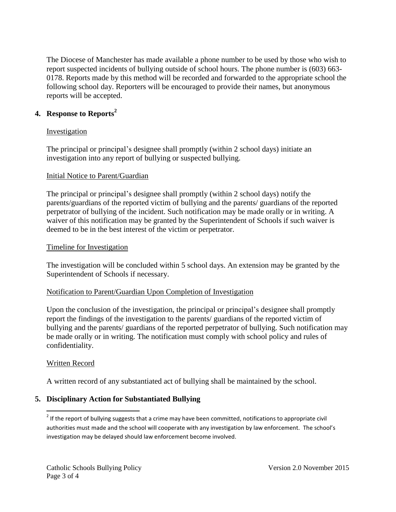The Diocese of Manchester has made available a phone number to be used by those who wish to report suspected incidents of bullying outside of school hours. The phone number is (603) 663- 0178. Reports made by this method will be recorded and forwarded to the appropriate school the following school day. Reporters will be encouraged to provide their names, but anonymous reports will be accepted.

## **4. Response to Reports<sup>2</sup>**

#### **Investigation**

The principal or principal's designee shall promptly (within 2 school days) initiate an investigation into any report of bullying or suspected bullying.

#### Initial Notice to Parent/Guardian

The principal or principal's designee shall promptly (within 2 school days) notify the parents/guardians of the reported victim of bullying and the parents/ guardians of the reported perpetrator of bullying of the incident. Such notification may be made orally or in writing. A waiver of this notification may be granted by the Superintendent of Schools if such waiver is deemed to be in the best interest of the victim or perpetrator.

#### Timeline for Investigation

The investigation will be concluded within 5 school days. An extension may be granted by the Superintendent of Schools if necessary.

### Notification to Parent/Guardian Upon Completion of Investigation

Upon the conclusion of the investigation, the principal or principal's designee shall promptly report the findings of the investigation to the parents/ guardians of the reported victim of bullying and the parents/ guardians of the reported perpetrator of bullying. Such notification may be made orally or in writing. The notification must comply with school policy and rules of confidentiality.

### Written Record

A written record of any substantiated act of bullying shall be maintained by the school.

# **5. Disciplinary Action for Substantiated Bullying**

<sup>2&</sup>lt;br><sup>2</sup> If the report of bullying suggests that a crime may have been committed, notifications to appropriate civil authorities must made and the school will cooperate with any investigation by law enforcement. The school's investigation may be delayed should law enforcement become involved.